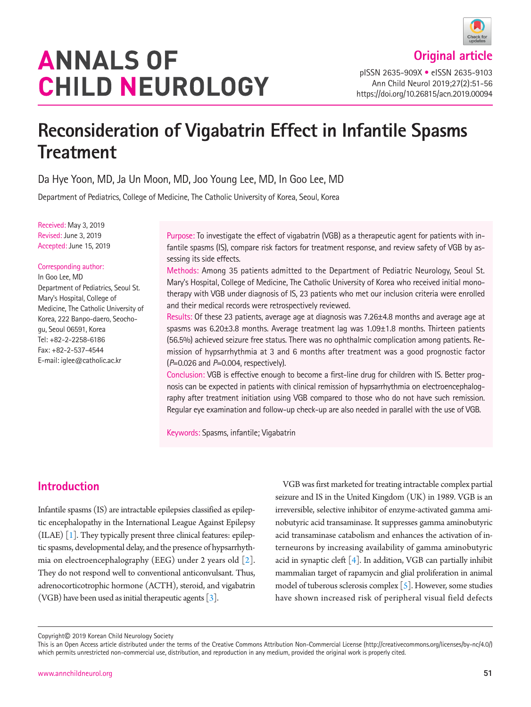# **ANNALS OF CHILD NEUROLOGY**

pISSN 2635-909X • eISSN 2635-9103 Ann Child Neurol 2019;27(2):51-56 https://doi.org/10.26815/acn.2019.00094

## **Reconsideration of Vigabatrin Effect in Infantile Spasms Treatment**

Da Hye Yoon, MD, Ja Un Moon, MD, Joo Young Lee, MD, In Goo Lee, MD

Department of Pediatrics, College of Medicine, The Catholic University of Korea, Seoul, Korea

Received: May 3, 2019 Revised: June 3, 2019 Accepted: June 15, 2019

## Corresponding author:

In Goo Lee, MD Department of Pediatrics, Seoul St. Mary's Hospital, College of Medicine, The Catholic University of Korea, 222 Banpo-daero, Seochogu, Seoul 06591, Korea Tel: +82-2-2258-6186 Fax: +82-2-537-4544 E-mail: iglee@catholic.ac.kr

Purpose: To investigate the effect of vigabatrin (VGB) as a therapeutic agent for patients with infantile spasms (IS), compare risk factors for treatment response, and review safety of VGB by assessing its side effects.

Methods: Among 35 patients admitted to the Department of Pediatric Neurology, Seoul St. Mary's Hospital, College of Medicine, The Catholic University of Korea who received initial monotherapy with VGB under diagnosis of IS, 23 patients who met our inclusion criteria were enrolled and their medical records were retrospectively reviewed.

Results: Of these 23 patients, average age at diagnosis was 7.26±4.8 months and average age at spasms was 6.20±3.8 months. Average treatment lag was 1.09±1.8 months. Thirteen patients (56.5%) achieved seizure free status. There was no ophthalmic complication among patients. Remission of hypsarrhythmia at 3 and 6 months after treatment was a good prognostic factor (*P*=0.026 and *P*=0.004, respectively).

Conclusion: VGB is effective enough to become a first-line drug for children with IS. Better prognosis can be expected in patients with clinical remission of hypsarrhythmia on electroencephalography after treatment initiation using VGB compared to those who do not have such remission. Regular eye examination and follow-up check-up are also needed in parallel with the use of VGB.

Keywords: Spasms, infantile; Vigabatrin

## **Introduction**

Infantile spasms (IS) are intractable epilepsies classified as epileptic encephalopathy in the International League Against Epilepsy (ILAE) [\[1](#page-4-0)]. They typically present three clinical features: epileptic spasms, developmental delay, and the presence of hypsarrhythmia on electroencephalography (EEG) under 2 years old [\[2](#page-4-1)]. They do not respond well to conventional anticonvulsant. Thus, adrenocorticotrophic hormone (ACTH), steroid, and vigabatrin (VGB) have been used as initial therapeutic agents  $[3]$ .

VGB was first marketed for treating intractable complex partial seizure and IS in the United Kingdom (UK) in 1989. VGB is an irreversible, selective inhibitor of enzyme-activated gamma aminobutyric acid transaminase. It suppresses gamma aminobutyric acid transaminase catabolism and enhances the activation of interneurons by increasing availability of gamma aminobutyric acid in synaptic cleft  $[4]$ . In addition, VGB can partially inhibit mammalian target of rapamycin and glial proliferation in animal model of tuberous sclerosis complex  $\lceil 5 \rceil$ . However, some studies have shown increased risk of peripheral visual field defects

Copyright© 2019 Korean Child Neurology Society

This is an Open Access article distributed under the terms of the Creative Commons Attribution Non-Commercial License (http://creativecommons.org/licenses/by-nc/4.0/) which permits unrestricted non-commercial use, distribution, and reproduction in any medium, provided the original work is properly cited.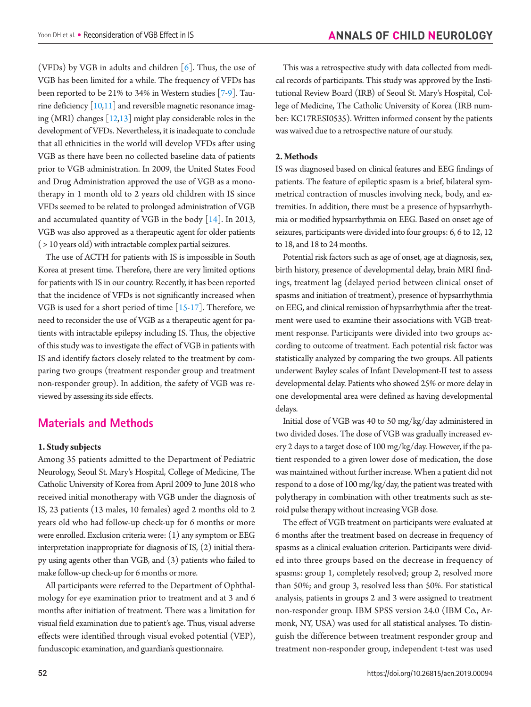(VFDs) by VGB in adults and children  $[6]$ . Thus, the use of VGB has been limited for a while. The frequency of VFDs has been reported to be 21% to 34% in Western studies [\[7](#page-4-6)[-9](#page-4-7)]. Taurine deficiency  $[10,11]$  $[10,11]$  $[10,11]$  and reversible magnetic resonance imaging (MRI) changes  $[12,13]$  $[12,13]$  might play considerable roles in the development of VFDs. Nevertheless, it is inadequate to conclude that all ethnicities in the world will develop VFDs after using VGB as there have been no collected baseline data of patients prior to VGB administration. In 2009, the United States Food and Drug Administration approved the use of VGB as a monotherapy in 1 month old to 2 years old children with IS since VFDs seemed to be related to prolonged administration of VGB and accumulated quantity of VGB in the body [\[14](#page-4-12)]. In 2013, VGB was also approved as a therapeutic agent for older patients ( > 10 years old) with intractable complex partial seizures.

The use of ACTH for patients with IS is impossible in South Korea at present time. Therefore, there are very limited options for patients with IS in our country. Recently, it has been reported that the incidence of VFDs is not significantly increased when VGB is used for a short period of time [\[15](#page-4-13)[-17](#page-4-14)]. Therefore, we need to reconsider the use of VGB as a therapeutic agent for patients with intractable epilepsy including IS. Thus, the objective of this study was to investigate the effect of VGB in patients with IS and identify factors closely related to the treatment by comparing two groups (treatment responder group and treatment non-responder group). In addition, the safety of VGB was reviewed by assessing its side effects.

### **Materials and Methods**

#### **1. Study subjects**

Among 35 patients admitted to the Department of Pediatric Neurology, Seoul St. Mary's Hospital, College of Medicine, The Catholic University of Korea from April 2009 to June 2018 who received initial monotherapy with VGB under the diagnosis of IS, 23 patients (13 males, 10 females) aged 2 months old to 2 years old who had follow-up check-up for 6 months or more were enrolled. Exclusion criteria were: (1) any symptom or EEG interpretation inappropriate for diagnosis of IS, (2) initial therapy using agents other than VGB, and (3) patients who failed to make follow-up check-up for 6 months or more.

All participants were referred to the Department of Ophthalmology for eye examination prior to treatment and at 3 and 6 months after initiation of treatment. There was a limitation for visual field examination due to patient's age. Thus, visual adverse effects were identified through visual evoked potential (VEP), funduscopic examination, and guardian's questionnaire.

This was a retrospective study with data collected from medical records of participants. This study was approved by the Institutional Review Board (IRB) of Seoul St. Mary's Hospital, College of Medicine, The Catholic University of Korea (IRB number: KC17RESI0535). Written informed consent by the patients was waived due to a retrospective nature of our study.

#### **2. Methods**

IS was diagnosed based on clinical features and EEG findings of patients. The feature of epileptic spasm is a brief, bilateral symmetrical contraction of muscles involving neck, body, and extremities. In addition, there must be a presence of hypsarrhythmia or modified hypsarrhythmia on EEG. Based on onset age of seizures, participants were divided into four groups: 6, 6 to 12, 12 to 18, and 18 to 24 months.

Potential risk factors such as age of onset, age at diagnosis, sex, birth history, presence of developmental delay, brain MRI findings, treatment lag (delayed period between clinical onset of spasms and initiation of treatment), presence of hypsarrhythmia on EEG, and clinical remission of hypsarrhythmia after the treatment were used to examine their associations with VGB treatment response. Participants were divided into two groups according to outcome of treatment. Each potential risk factor was statistically analyzed by comparing the two groups. All patients underwent Bayley scales of Infant Development-II test to assess developmental delay. Patients who showed 25% or more delay in one developmental area were defined as having developmental delays.

Initial dose of VGB was 40 to 50 mg/kg/day administered in two divided doses. The dose of VGB was gradually increased every 2 days to a target dose of 100 mg/kg/day. However, if the patient responded to a given lower dose of medication, the dose was maintained without further increase. When a patient did not respond to a dose of 100 mg/kg/day, the patient was treated with polytherapy in combination with other treatments such as steroid pulse therapy without increasing VGB dose.

The effect of VGB treatment on participants were evaluated at 6 months after the treatment based on decrease in frequency of spasms as a clinical evaluation criterion. Participants were divided into three groups based on the decrease in frequency of spasms: group 1, completely resolved; group 2, resolved more than 50%; and group 3, resolved less than 50%. For statistical analysis, patients in groups 2 and 3 were assigned to treatment non-responder group. IBM SPSS version 24.0 (IBM Co., Armonk, NY, USA) was used for all statistical analyses. To distinguish the difference between treatment responder group and treatment non-responder group, independent t-test was used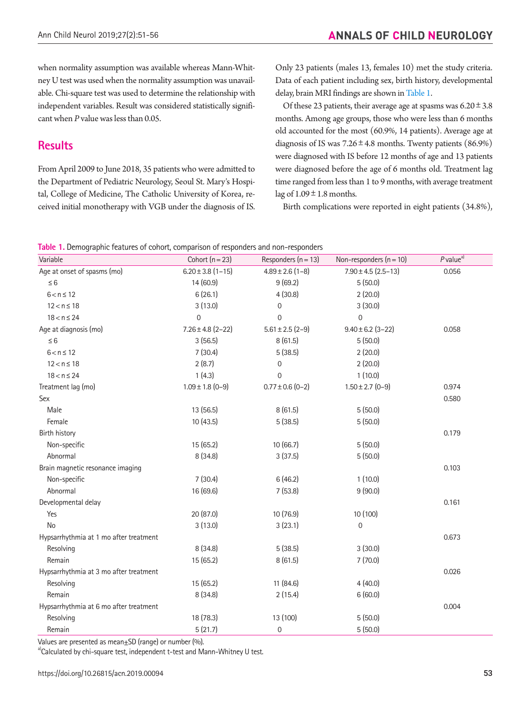when normality assumption was available whereas Mann-Whitney U test was used when the normality assumption was unavailable. Chi-square test was used to determine the relationship with independent variables. Result was considered statistically significant when *P* value was less than 0.05.

## **Results**

From April 2009 to June 2018, 35 patients who were admitted to the Department of Pediatric Neurology, Seoul St. Mary's Hospital, College of Medicine, The Catholic University of Korea, received initial monotherapy with VGB under the diagnosis of IS.

Only 23 patients (males 13, females 10) met the study criteria. Data of each patient including sex, birth history, developmental delay, brain MRI findings are shown in [Table 1](#page-2-0).

Of these 23 patients, their average age at spasms was  $6.20 \pm 3.8$ months. Among age groups, those who were less than 6 months old accounted for the most (60.9%, 14 patients). Average age at diagnosis of IS was  $7.26 \pm 4.8$  months. Twenty patients (86.9%) were diagnosed with IS before 12 months of age and 13 patients were diagnosed before the age of 6 months old. Treatment lag time ranged from less than 1 to 9 months, with average treatment lag of  $1.09 \pm 1.8$  months.

Birth complications were reported in eight patients (34.8%),

<span id="page-2-0"></span>

| Table 1. Demographic features of cohort, comparison of responders and non-responders |  |  |  |  |  |  |  |  |
|--------------------------------------------------------------------------------------|--|--|--|--|--|--|--|--|
|--------------------------------------------------------------------------------------|--|--|--|--|--|--|--|--|

| Variable                               | Cohort $(n=23)$       | Responders $(n = 13)$ | Non-responders $(n = 10)$ | $P$ value <sup>a)</sup> |
|----------------------------------------|-----------------------|-----------------------|---------------------------|-------------------------|
| Age at onset of spasms (mo)            | $6.20 \pm 3.8$ (1-15) | $4.89 \pm 2.6$ (1-8)  | $7.90 \pm 4.5 (2.5 - 13)$ | 0.056                   |
| $\leq 6$                               | 14 (60.9)             | 9(69.2)               | 5(50.0)                   |                         |
| $6 < n \le 12$                         | 6(26.1)               | 4(30.8)               | 2(20.0)                   |                         |
| $12 < n \le 18$                        | 3(13.0)               | $\mathbf 0$           | 3(30.0)                   |                         |
| $18 < n \le 24$                        | $\overline{0}$        | 0                     | $\overline{0}$            |                         |
| Age at diagnosis (mo)                  | $7.26 \pm 4.8$ (2-22) | $5.61 \pm 2.5$ (2-9)  | $9.40 \pm 6.2$ (3-22)     | 0.058                   |
| $\leq 6$                               | 3(56.5)               | 8(61.5)               | 5(50.0)                   |                         |
| $6 < n \leq 12$                        | 7(30.4)               | 5(38.5)               | 2(20.0)                   |                         |
| $12 < n \le 18$                        | 2(8.7)                | $\mathbf 0$           | 2(20.0)                   |                         |
| $18 < n \le 24$                        | 1(4.3)                | $\mathbf 0$           | 1(10.0)                   |                         |
| Treatment lag (mo)                     | $1.09 \pm 1.8$ (0-9)  | $0.77 \pm 0.6$ (0-2)  | $1.50 \pm 2.7$ (0-9)      | 0.974                   |
| Sex                                    |                       |                       |                           | 0.580                   |
| Male                                   | 13 (56.5)             | 8(61.5)               | 5(50.0)                   |                         |
| Female                                 | 10(43.5)              | 5(38.5)               | 5(50.0)                   |                         |
| Birth history                          |                       |                       |                           | 0.179                   |
| Non-specific                           | 15(65.2)              | 10 (66.7)             | 5(50.0)                   |                         |
| Abnormal                               | 8(34.8)               | 3(37.5)               | 5(50.0)                   |                         |
| Brain magnetic resonance imaging       |                       |                       |                           | 0.103                   |
| Non-specific                           | 7(30.4)               | 6(46.2)               | 1(10.0)                   |                         |
| Abnormal                               | 16 (69.6)             | 7(53.8)               | 9(90.0)                   |                         |
| Developmental delay                    |                       |                       |                           | 0.161                   |
| Yes                                    | 20 (87.0)             | 10 (76.9)             | 10 (100)                  |                         |
| No                                     | 3(13.0)               | 3(23.1)               | $\mathbf 0$               |                         |
| Hypsarrhythmia at 1 mo after treatment |                       |                       |                           | 0.673                   |
| Resolving                              | 8(34.8)               | 5(38.5)               | 3(30.0)                   |                         |
| Remain                                 | 15 (65.2)             | 8(61.5)               | 7(70.0)                   |                         |
| Hypsarrhythmia at 3 mo after treatment |                       |                       |                           | 0.026                   |
| Resolving                              | 15 (65.2)             | 11 (84.6)             | 4(40.0)                   |                         |
| Remain                                 | 8(34.8)               | 2(15.4)               | 6(60.0)                   |                         |
| Hypsarrhythmia at 6 mo after treatment |                       |                       |                           | 0.004                   |
| Resolving                              | 18 (78.3)             | 13 (100)              | 5(50.0)                   |                         |
| Remain                                 | 5(21.7)               | $\mathbf 0$           | 5(50.0)                   |                         |

Values are presented as mean $\pm$ SD (range) or number (%).

a)Calculated by chi-square test, independent t-test and Mann-Whitney U test.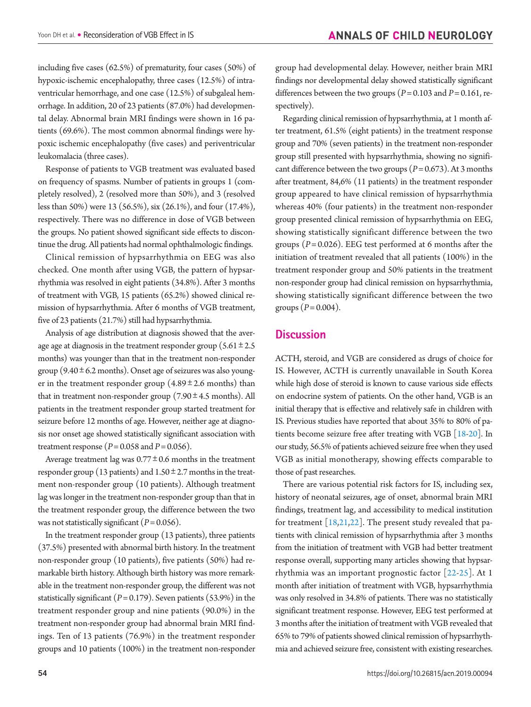including five cases (62.5%) of prematurity, four cases (50%) of hypoxic-ischemic encephalopathy, three cases (12.5%) of intraventricular hemorrhage, and one case (12.5%) of subgaleal hemorrhage. In addition, 20 of 23 patients (87.0%) had developmental delay. Abnormal brain MRI findings were shown in 16 patients (69.6%). The most common abnormal findings were hypoxic ischemic encephalopathy (five cases) and periventricular leukomalacia (three cases).

Response of patients to VGB treatment was evaluated based on frequency of spasms. Number of patients in groups 1 (completely resolved), 2 (resolved more than 50%), and 3 (resolved less than 50%) were 13 (56.5%), six (26.1%), and four (17.4%), respectively. There was no difference in dose of VGB between the groups. No patient showed significant side effects to discontinue the drug. All patients had normal ophthalmologic findings.

Clinical remission of hypsarrhythmia on EEG was also checked. One month after using VGB, the pattern of hypsarrhythmia was resolved in eight patients (34.8%). After 3 months of treatment with VGB, 15 patients (65.2%) showed clinical remission of hypsarrhythmia. After 6 months of VGB treatment, five of 23 patients (21.7%) still had hypsarrhythmia.

Analysis of age distribution at diagnosis showed that the average age at diagnosis in the treatment responder group  $(5.61 \pm 2.5$ months) was younger than that in the treatment non-responder group ( $9.40 \pm 6.2$  months). Onset age of seizures was also younger in the treatment responder group  $(4.89 \pm 2.6 \text{ months})$  than that in treatment non-responder group  $(7.90 \pm 4.5 \text{ months})$ . All patients in the treatment responder group started treatment for seizure before 12 months of age. However, neither age at diagnosis nor onset age showed statistically significant association with treatment response ( $P = 0.058$  and  $P = 0.056$ ).

Average treatment lag was  $0.77 \pm 0.6$  months in the treatment responder group (13 patients) and  $1.50 \pm 2.7$  months in the treatment non-responder group (10 patients). Although treatment lag was longer in the treatment non-responder group than that in the treatment responder group, the difference between the two was not statistically significant ( $P = 0.056$ ).

In the treatment responder group (13 patients), three patients (37.5%) presented with abnormal birth history. In the treatment non-responder group (10 patients), five patients (50%) had remarkable birth history. Although birth history was more remarkable in the treatment non-responder group, the different was not statistically significant  $(P = 0.179)$ . Seven patients (53.9%) in the treatment responder group and nine patients (90.0%) in the treatment non-responder group had abnormal brain MRI findings. Ten of 13 patients (76.9%) in the treatment responder groups and 10 patients (100%) in the treatment non-responder group had developmental delay. However, neither brain MRI findings nor developmental delay showed statistically significant differences between the two groups ( $P = 0.103$  and  $P = 0.161$ , respectively).

Regarding clinical remission of hypsarrhythmia, at 1 month after treatment, 61.5% (eight patients) in the treatment response group and 70% (seven patients) in the treatment non-responder group still presented with hypsarrhythmia, showing no significant difference between the two groups  $(P= 0.673)$ . At 3 months after treatment, 84,6% (11 patients) in the treatment responder group appeared to have clinical remission of hypsarrhythmia whereas 40% (four patients) in the treatment non-responder group presented clinical remission of hypsarrhythmia on EEG, showing statistically significant difference between the two groups (*P*= 0.026). EEG test performed at 6 months after the initiation of treatment revealed that all patients (100%) in the treatment responder group and 50% patients in the treatment non-responder group had clinical remission on hypsarrhythmia, showing statistically significant difference between the two groups  $(P = 0.004)$ .

## **Discussion**

ACTH, steroid, and VGB are considered as drugs of choice for IS. However, ACTH is currently unavailable in South Korea while high dose of steroid is known to cause various side effects on endocrine system of patients. On the other hand, VGB is an initial therapy that is effective and relatively safe in children with IS. Previous studies have reported that about 35% to 80% of patients become seizure free after treating with VGB [\[18](#page-5-0)[-20\]](#page-5-1). In our study, 56.5% of patients achieved seizure free when they used VGB as initial monotherapy, showing effects comparable to those of past researches.

<span id="page-3-0"></span>There are various potential risk factors for IS, including sex, history of neonatal seizures, age of onset, abnormal brain MRI findings, treatment lag, and accessibility to medical institution for treatment  $[18,21,22]$  $[18,21,22]$  $[18,21,22]$  $[18,21,22]$ . The present study revealed that patients with clinical remission of hypsarrhythmia after 3 months from the initiation of treatment with VGB had better treatment response overall, supporting many articles showing that hypsarrhythmia was an important prognostic factor [[22](#page-5-3)[-25\]](#page-5-4). At 1 month after initiation of treatment with VGB, hypsarrhythmia was only resolved in 34.8% of patients. There was no statistically significant treatment response. However, EEG test performed at 3 months after the initiation of treatment with VGB revealed that 65% to 79% of patients showed clinical remission of hypsarrhythmia and achieved seizure free, consistent with existing researches.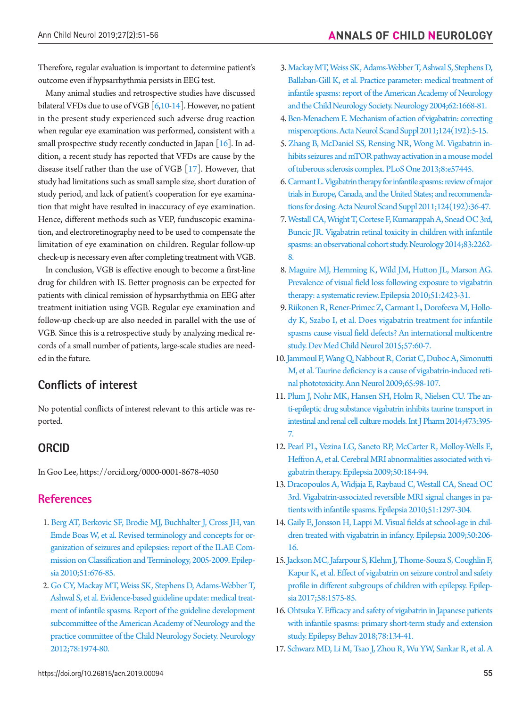Therefore, regular evaluation is important to determine patient's outcome even if hypsarrhythmia persists in EEG test.

Many animal studies and retrospective studies have discussed bilateral VFDs due to use of VGB [\[6](#page-3-0)[,10](#page-4-8)[-14](#page-4-12)]. However, no patient in the present study experienced such adverse drug reaction when regular eye examination was performed, consistent with a small prospective study recently conducted in Japan  $[16]$ . In addition, a recent study has reported that VFDs are cause by the disease itself rather than the use of VGB [\[17](#page-4-14)]. However, that study had limitations such as small sample size, short duration of study period, and lack of patient's cooperation for eye examination that might have resulted in inaccuracy of eye examination. Hence, different methods such as VEP, funduscopic examination, and electroretinography need to be used to compensate the limitation of eye examination on children. Regular follow-up check-up is necessary even after completing treatment with VGB.

In conclusion, VGB is effective enough to become a first-line drug for children with IS. Better prognosis can be expected for patients with clinical remission of hypsarrhythmia on EEG after treatment initiation using VGB. Regular eye examination and follow-up check-up are also needed in parallel with the use of VGB. Since this is a retrospective study by analyzing medical records of a small number of patients, large-scale studies are needed in the future.

## **Conflicts of interest**

No potential conflicts of interest relevant to this article was reported.

## **ORCID**

In Goo Lee, https://orcid.org/0000-0001-8678-4050

## **References**

- <span id="page-4-0"></span>1. [Berg AT, Berkovic SF, Brodie MJ, Buchhalter J, Cross JH, van](https://doi.org/10.1111/j.1528-1167.2010.02522.x) [Emde Boas W, et al. Revised terminology and concepts for or](https://doi.org/10.1111/j.1528-1167.2010.02522.x)[ganization of seizures and epilepsies: report of the ILAE Com](https://doi.org/10.1111/j.1528-1167.2010.02522.x)[mission on Classification and Terminology, 2005-2009. Epilep](https://doi.org/10.1111/j.1528-1167.2010.02522.x)[sia 2010;51:676-85.](https://doi.org/10.1111/j.1528-1167.2010.02522.x)
- <span id="page-4-1"></span>2. [Go CY, Mackay MT, Weiss SK, Stephens D, Adams-Webber T,](https://doi.org/10.1212/WNL.0b013e318259e2cf) [Ashwal S, et al. Evidence-based guideline update: medical treat](https://doi.org/10.1212/WNL.0b013e318259e2cf)[ment of infantile spasms. Report of the guideline development](https://doi.org/10.1212/WNL.0b013e318259e2cf) [subcommittee of the American Academy of Neurology and the](https://doi.org/10.1212/WNL.0b013e318259e2cf) [practice committee of the Child Neurology Society. Neurology](https://doi.org/10.1212/WNL.0b013e318259e2cf) [2012;78:1974-80.](https://doi.org/10.1212/WNL.0b013e318259e2cf)
- <span id="page-4-2"></span>3. [Mackay MT, Weiss SK, Adams-Webber T, Ashwal S, Stephens D,](https://doi.org/10.1212/01.WNL.0000127773.72699.C8)  [Ballaban-Gill K, et al. Practice parameter: medical treatment of](https://doi.org/10.1212/01.WNL.0000127773.72699.C8)  [infantile spasms: report of the American Academy of Neurology](https://doi.org/10.1212/01.WNL.0000127773.72699.C8)  [and the Child Neurology Society. Neurology 2004;62:1668-81.](https://doi.org/10.1212/01.WNL.0000127773.72699.C8)
- <span id="page-4-3"></span>4. [Ben-Menachem E. Mechanism of action of vigabatrin: correcting](https://doi.org/10.1111/j.1600-0404.2011.01596.x)  [misperceptions. Acta Neurol Scand Suppl 2011;124\(192\):5-15.](https://doi.org/10.1111/j.1600-0404.2011.01596.x)
- <span id="page-4-4"></span>5. [Zhang B, McDaniel SS, Rensing NR, Wong M. Vigabatrin in](https://doi.org/10.1371/journal.pone.0057445)[hibits seizures and mTOR pathway activation in a mouse model](https://doi.org/10.1371/journal.pone.0057445)  [of tuberous sclerosis complex. PLoS One 2013;8:e57445.](https://doi.org/10.1371/journal.pone.0057445)
- <span id="page-4-5"></span>6.[Carmant L. Vigabatrin therapy for infantile spasms: review of major](https://doi.org/10.1111/j.1600-0404.2011.01599.x)  [trials in Europe, Canada, and the United States; and recommenda](https://doi.org/10.1111/j.1600-0404.2011.01599.x)[tions for dosing. Acta Neurol Scand Suppl 2011;124\(192\):36-47.](https://doi.org/10.1111/j.1600-0404.2011.01599.x)
- <span id="page-4-6"></span>7. [Westall CA, Wright T, Cortese F, Kumarappah A, Snead OC 3rd,](https://doi.org/10.1212/WNL.0000000000001069)  [Buncic JR. Vigabatrin retinal toxicity in children with infantile](https://doi.org/10.1212/WNL.0000000000001069)  [spasms: an observational cohort study. Neurology 2014;83:2262-](https://doi.org/10.1212/WNL.0000000000001069) [8.](https://doi.org/10.1212/WNL.0000000000001069)
- 8. [Maguire MJ, Hemming K, Wild JM, Hutton JL, Marson AG.](https://doi.org/10.1111/j.1528-1167.2010.02772.x)  [Prevalence of visual field loss following exposure to vigabatrin](https://doi.org/10.1111/j.1528-1167.2010.02772.x)  [therapy: a systematic review. Epilepsia 2010;51:2423-31.](https://doi.org/10.1111/j.1528-1167.2010.02772.x)
- <span id="page-4-7"></span>9.[Riikonen R, Rener-Primec Z, Carmant L, Dorofeeva M, Hollo](https://doi.org/10.1111/dmcn.12573)[dy K, Szabo I, et al. Does vigabatrin treatment for infantile](https://doi.org/10.1111/dmcn.12573)  [spasms cause visual field defects? An international multicentre](https://doi.org/10.1111/dmcn.12573)  [study. Dev Med Child Neurol 2015;57:60-7.](https://doi.org/10.1111/dmcn.12573)
- <span id="page-4-8"></span>10.[Jammoul F, Wang Q, Nabbout R, Coriat C, Duboc A, Simonutti](https://doi.org/10.1002/ana.21526)  [M, et al. Taurine deficiency is a cause of vigabatrin-induced reti](https://doi.org/10.1002/ana.21526)[nal phototoxicity. Ann Neurol 2009;65:98-107.](https://doi.org/10.1002/ana.21526)
- <span id="page-4-9"></span>11. [Plum J, Nohr MK, Hansen SH, Holm R, Nielsen CU. The an](https://doi.org/10.1016/j.ijpharm.2014.07.023)[ti-epileptic drug substance vigabatrin inhibits taurine transport in](https://doi.org/10.1016/j.ijpharm.2014.07.023)  [intestinal and renal cell culture models. Int J Pharm 2014;473:395-](https://doi.org/10.1016/j.ijpharm.2014.07.023) [7.](https://doi.org/10.1016/j.ijpharm.2014.07.023)
- <span id="page-4-10"></span>12. [Pearl PL, Vezina LG, Saneto RP, McCarter R, Molloy-Wells E,](https://doi.org/10.1111/j.1528-1167.2008.01728.x)  [Heffron A, et al. Cerebral MRI abnormalities associated with vi](https://doi.org/10.1111/j.1528-1167.2008.01728.x)[gabatrin therapy. Epilepsia 2009;50:184-94.](https://doi.org/10.1111/j.1528-1167.2008.01728.x)
- <span id="page-4-11"></span>13. [Dracopoulos A, Widjaja E, Raybaud C, Westall CA, Snead OC](https://doi.org/10.1111/j.1528-1167.2010.02564.x)  [3rd. Vigabatrin-associated reversible MRI signal changes in pa](https://doi.org/10.1111/j.1528-1167.2010.02564.x)[tients with infantile spasms. Epilepsia 2010;51:1297-304.](https://doi.org/10.1111/j.1528-1167.2010.02564.x)
- <span id="page-4-12"></span>14. [Gaily E, Jonsson H, Lappi M. Visual fields at school-age in chil](https://doi.org/10.1111/j.1528-1167.2008.01961.x)[dren treated with vigabatrin in infancy. Epilepsia 2009;50:206-](https://doi.org/10.1111/j.1528-1167.2008.01961.x) [16.](https://doi.org/10.1111/j.1528-1167.2008.01961.x)
- <span id="page-4-13"></span>15. Jackson MC, Jafarpour S, Klehm J, Thome-Souza S, Coughlin F, [Kapur K, et al. Effect of vigabatrin on seizure control and safety](https://doi.org/10.1111/epi.13836)  [profile in different subgroups of children with epilepsy. Epilep](https://doi.org/10.1111/epi.13836)[sia 2017;58:1575-85.](https://doi.org/10.1111/epi.13836)
- <span id="page-4-15"></span>16. [Ohtsuka Y. Efficacy and safety of vigabatrin in Japanese patients](https://doi.org/10.1016/j.yebeh.2017.09.010)  [with infantile spasms: primary short-term study and extension](https://doi.org/10.1016/j.yebeh.2017.09.010)  [study. Epilepsy Behav 2018;78:134-41.](https://doi.org/10.1016/j.yebeh.2017.09.010)
- <span id="page-4-14"></span>17. [Schwarz MD, Li M, Tsao J, Zhou R, Wu YW, Sankar R, et al. A](https://doi.org/10.1016/j.yebeh.2016.01.012)